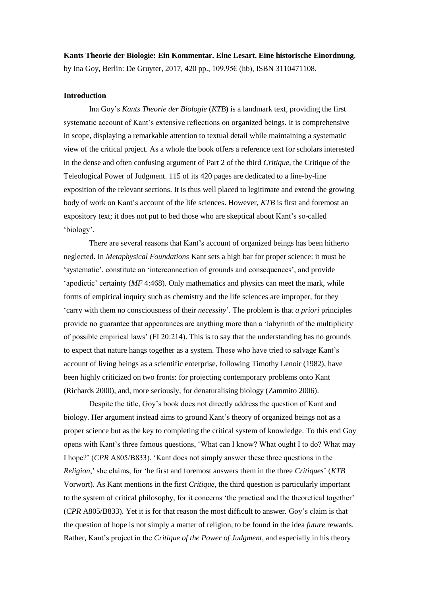**Kants Theorie der Biologie: Ein Kommentar. Eine Lesart. Eine historische Einordnung**, by Ina Goy, Berlin: De Gruyter, 2017, 420 pp., 109.95€ (hb), ISBN 3110471108.

### **Introduction**

Ina Goy's *Kants Theorie der Biologie* (*KTB*) is a landmark text, providing the first systematic account of Kant's extensive reflections on organized beings. It is comprehensive in scope, displaying a remarkable attention to textual detail while maintaining a systematic view of the critical project. As a whole the book offers a reference text for scholars interested in the dense and often confusing argument of Part 2 of the third *Critique*, the Critique of the Teleological Power of Judgment. 115 of its 420 pages are dedicated to a line-by-line exposition of the relevant sections. It is thus well placed to legitimate and extend the growing body of work on Kant's account of the life sciences. However, *KTB* is first and foremost an expository text; it does not put to bed those who are skeptical about Kant's so-called 'biology'.

There are several reasons that Kant's account of organized beings has been hitherto neglected. In *Metaphysical Foundations* Kant sets a high bar for proper science: it must be 'systematic', constitute an 'interconnection of grounds and consequences', and provide 'apodictic' certainty (*MF* 4:468). Only mathematics and physics can meet the mark, while forms of empirical inquiry such as chemistry and the life sciences are improper, for they 'carry with them no consciousness of their *necessity*'. The problem is that *a priori* principles provide no guarantee that appearances are anything more than a 'labyrinth of the multiplicity of possible empirical laws' (FI 20:214). This is to say that the understanding has no grounds to expect that nature hangs together as a system. Those who have tried to salvage Kant's account of living beings as a scientific enterprise, following Timothy Lenoir (1982), have been highly criticized on two fronts: for projecting contemporary problems onto Kant (Richards 2000), and, more seriously, for denaturalising biology (Zammito 2006).

Despite the title, Goy's book does not directly address the question of Kant and biology. Her argument instead aims to ground Kant's theory of organized beings not as a proper science but as the key to completing the critical system of knowledge. To this end Goy opens with Kant's three famous questions, 'What can I know? What ought I to do? What may I hope?' (*CPR* A805/B833). 'Kant does not simply answer these three questions in the *Religion*,' she claims, for 'he first and foremost answers them in the three *Critiques*' (*KTB*  Vorwort). As Kant mentions in the first *Critique*, the third question is particularly important to the system of critical philosophy, for it concerns 'the practical and the theoretical together' (*CPR* A805/B833). Yet it is for that reason the most difficult to answer. Goy's claim is that the question of hope is not simply a matter of religion, to be found in the idea *future* rewards. Rather, Kant's project in the *Critique of the Power of Judgment*, and especially in his theory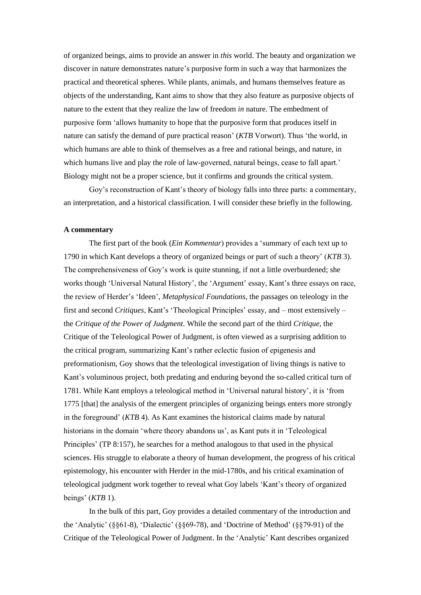of organized beings, aims to provide an answer in *this* world. The beauty and organization we discover in nature demonstrates nature's purposive form in such a way that harmonizes the practical and theoretical spheres. While plants, animals, and humans themselves feature as objects of the understanding, Kant aims to show that they also feature as purposive objects of nature to the extent that they realize the law of freedom *in* nature. The embedment of purposive form 'allows humanity to hope that the purposive form that produces itself in nature can satisfy the demand of pure practical reason' (*KTB* Vorwort). Thus 'the world, in which humans are able to think of themselves as a free and rational beings, and nature, in which humans live and play the role of law-governed, natural beings, cease to fall apart.' Biology might not be a proper science, but it confirms and grounds the critical system.

Goy's reconstruction of Kant's theory of biology falls into three parts: a commentary, an interpretation, and a historical classification. I will consider these briefly in the following.

#### **A commentary**

The first part of the book (*Ein Kommentar*) provides a 'summary of each text up to 1790 in which Kant develops a theory of organized beings or part of such a theory' (*KTB* 3). The comprehensiveness of Goy's work is quite stunning, if not a little overburdened; she works though 'Universal Natural History', the 'Argument' essay, Kant's three essays on race, the review of Herder's 'Ideen', *Metaphysical Foundations*, the passages on teleology in the first and second *Critiques*, Kant's 'Theological Principles' essay, and – most extensively – the *Critique of the Power of Judgment.* While the second part of the third *Critique*, the Critique of the Teleological Power of Judgment, is often viewed as a surprising addition to the critical program, summarizing Kant's rather eclectic fusion of epigenesis and preformationism, Goy shows that the teleological investigation of living things is native to Kant's voluminous project, both predating and enduring beyond the so-called critical turn of 1781. While Kant employs a teleological method in 'Universal natural history', it is 'from 1775 [that] the analysis of the emergent principles of organizing beings enters more strongly in the foreground' (*KTB* 4). As Kant examines the historical claims made by natural historians in the domain 'where theory abandons us', as Kant puts it in 'Teleological Principles' (TP 8:157), he searches for a method analogous to that used in the physical sciences. His struggle to elaborate a theory of human development, the progress of his critical epistemology, his encounter with Herder in the mid-1780s, and his critical examination of teleological judgment work together to reveal what Goy labels 'Kant's theory of organized beings' (*KTB* 1).

In the bulk of this part, Goy provides a detailed commentary of the introduction and the 'Analytic' (§§61-8), 'Dialectic' (§§69-78), and 'Doctrine of Method' (§§79-91) of the Critique of the Teleological Power of Judgment. In the 'Analytic' Kant describes organized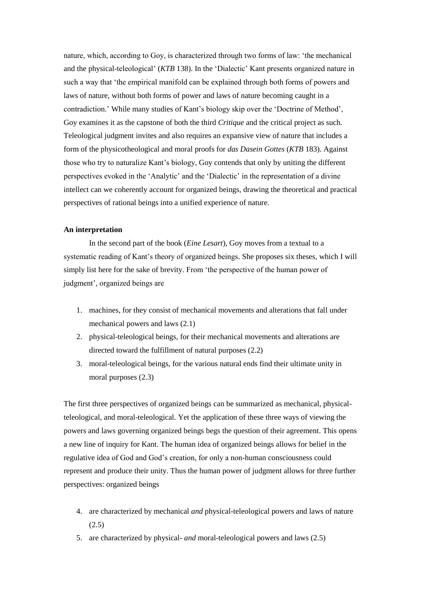nature, which, according to Goy, is characterized through two forms of law: 'the mechanical and the physical-teleological' (*KTB* 138). In the 'Dialectic' Kant presents organized nature in such a way that 'the empirical manifold can be explained through both forms of powers and laws of nature, without both forms of power and laws of nature becoming caught in a contradiction.' While many studies of Kant's biology skip over the 'Doctrine of Method', Goy examines it as the capstone of both the third *Critique* and the critical project as such. Teleological judgment invites and also requires an expansive view of nature that includes a form of the physicotheological and moral proofs for *das Dasein Gottes* (*KTB* 183). Against those who try to naturalize Kant's biology, Goy contends that only by uniting the different perspectives evoked in the 'Analytic' and the 'Dialectic' in the representation of a divine intellect can we coherently account for organized beings, drawing the theoretical and practical perspectives of rational beings into a unified experience of nature.

# **An interpretation**

In the second part of the book (*Eine Lesart*), Goy moves from a textual to a systematic reading of Kant's theory of organized beings. She proposes six theses, which I will simply list here for the sake of brevity. From 'the perspective of the human power of judgment', organized beings are

- 1. machines, for they consist of mechanical movements and alterations that fall under mechanical powers and laws (2.1)
- 2. physical-teleological beings, for their mechanical movements and alterations are directed toward the fulfillment of natural purposes (2.2)
- 3. moral-teleological beings, for the various natural ends find their ultimate unity in moral purposes (2.3)

The first three perspectives of organized beings can be summarized as mechanical, physicalteleological, and moral-teleological. Yet the application of these three ways of viewing the powers and laws governing organized beings begs the question of their agreement. This opens a new line of inquiry for Kant. The human idea of organized beings allows for belief in the regulative idea of God and God's creation, for only a non-human consciousness could represent and produce their unity. Thus the human power of judgment allows for three further perspectives: organized beings

- 4. are characterized by mechanical *and* physical-teleological powers and laws of nature (2.5)
- 5. are characterized by physical- *and* moral-teleological powers and laws (2.5)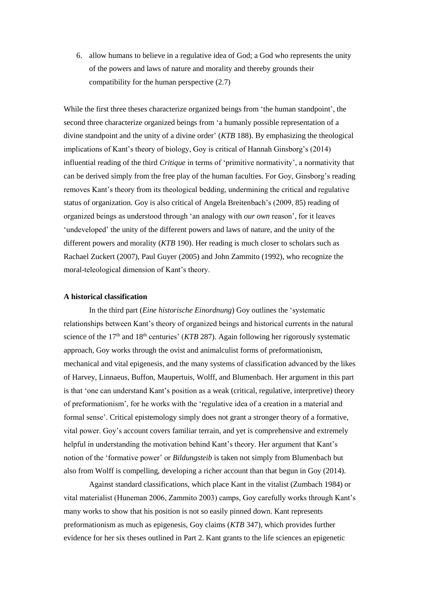6. allow humans to believe in a regulative idea of God; a God who represents the unity of the powers and laws of nature and morality and thereby grounds their compatibility for the human perspective (2.7)

While the first three theses characterize organized beings from 'the human standpoint', the second three characterize organized beings from 'a humanly possible representation of a divine standpoint and the unity of a divine order' (*KTB* 188). By emphasizing the theological implications of Kant's theory of biology, Goy is critical of Hannah Ginsborg's (2014) influential reading of the third *Critique* in terms of 'primitive normativity', a normativity that can be derived simply from the free play of the human faculties. For Goy, Ginsborg's reading removes Kant's theory from its theological bedding, undermining the critical and regulative status of organization. Goy is also critical of Angela Breitenbach's (2009, 85) reading of organized beings as understood through 'an analogy with *our own* reason', for it leaves 'undeveloped' the unity of the different powers and laws of nature, and the unity of the different powers and morality (*KTB* 190). Her reading is much closer to scholars such as Rachael Zuckert (2007), Paul Guyer (2005) and John Zammito (1992), who recognize the moral-teleological dimension of Kant's theory.

### **A historical classification**

In the third part (*Eine historische Einordnung*) Goy outlines the 'systematic relationships between Kant's theory of organized beings and historical currents in the natural science of the  $17<sup>th</sup>$  and  $18<sup>th</sup>$  centuries' (*KTB* 287). Again following her rigorously systematic approach, Goy works through the ovist and animalculist forms of preformationism, mechanical and vital epigenesis, and the many systems of classification advanced by the likes of Harvey, Linnaeus, Buffon, Maupertuis, Wolff, and Blumenbach. Her argument in this part is that 'one can understand Kant's position as a weak (critical, regulative, interpretive) theory of preformationism', for he works with the 'regulative idea of a creation in a material and formal sense'. Critical epistemology simply does not grant a stronger theory of a formative, vital power. Goy's account covers familiar terrain, and yet is comprehensive and extremely helpful in understanding the motivation behind Kant's theory. Her argument that Kant's notion of the 'formative power' or *Bildungsteib* is taken not simply from Blumenbach but also from Wolff is compelling, developing a richer account than that begun in Goy (2014).

Against standard classifications, which place Kant in the vitalist (Zumbach 1984) or vital materialist (Huneman 2006, Zammito 2003) camps, Goy carefully works through Kant's many works to show that his position is not so easily pinned down. Kant represents preformationism as much as epigenesis, Goy claims (*KTB* 347), which provides further evidence for her six theses outlined in Part 2. Kant grants to the life sciences an epigenetic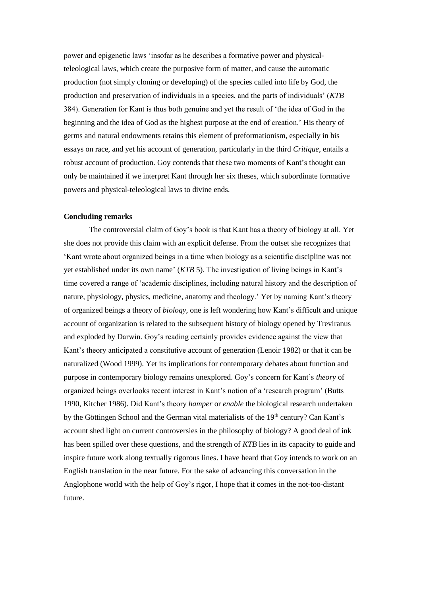power and epigenetic laws 'insofar as he describes a formative power and physicalteleological laws, which create the purposive form of matter, and cause the automatic production (not simply cloning or developing) of the species called into life by God, the production and preservation of individuals in a species, and the parts of individuals' (*KTB*  384). Generation for Kant is thus both genuine and yet the result of 'the idea of God in the beginning and the idea of God as the highest purpose at the end of creation.' His theory of germs and natural endowments retains this element of preformationism, especially in his essays on race, and yet his account of generation, particularly in the third *Critique*, entails a robust account of production. Goy contends that these two moments of Kant's thought can only be maintained if we interpret Kant through her six theses, which subordinate formative powers and physical-teleological laws to divine ends.

## **Concluding remarks**

The controversial claim of Goy's book is that Kant has a theory of biology at all. Yet she does not provide this claim with an explicit defense. From the outset she recognizes that 'Kant wrote about organized beings in a time when biology as a scientific discipline was not yet established under its own name' (*KTB* 5). The investigation of living beings in Kant's time covered a range of 'academic disciplines, including natural history and the description of nature, physiology, physics, medicine, anatomy and theology.' Yet by naming Kant's theory of organized beings a theory of *biology*, one is left wondering how Kant's difficult and unique account of organization is related to the subsequent history of biology opened by Treviranus and exploded by Darwin. Goy's reading certainly provides evidence against the view that Kant's theory anticipated a constitutive account of generation (Lenoir 1982) or that it can be naturalized (Wood 1999). Yet its implications for contemporary debates about function and purpose in contemporary biology remains unexplored. Goy's concern for Kant's *theory* of organized beings overlooks recent interest in Kant's notion of a 'research program' (Butts 1990, Kitcher 1986). Did Kant's theory *hamper* or *enable* the biological research undertaken by the Göttingen School and the German vital materialists of the 19<sup>th</sup> century? Can Kant's account shed light on current controversies in the philosophy of biology? A good deal of ink has been spilled over these questions, and the strength of *KTB* lies in its capacity to guide and inspire future work along textually rigorous lines. I have heard that Goy intends to work on an English translation in the near future. For the sake of advancing this conversation in the Anglophone world with the help of Goy's rigor, I hope that it comes in the not-too-distant future.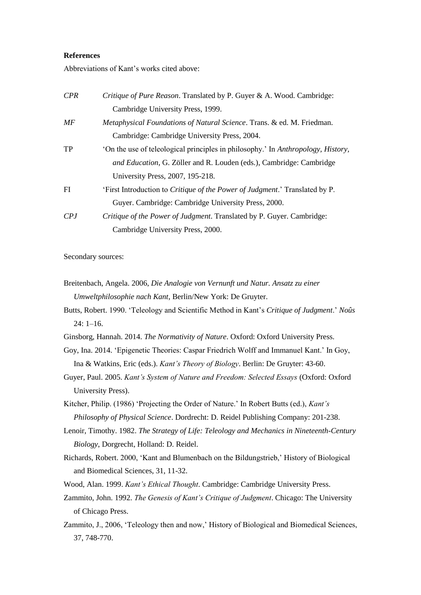## **References**

Abbreviations of Kant's works cited above:

| CPR | Critique of Pure Reason. Translated by P. Guyer & A. Wood. Cambridge:               |
|-----|-------------------------------------------------------------------------------------|
|     | Cambridge University Press, 1999.                                                   |
| МF  | <i>Metaphysical Foundations of Natural Science. Trans. &amp; ed. M. Friedman.</i>   |
|     | Cambridge: Cambridge University Press, 2004.                                        |
| TP  | 'On the use of teleological principles in philosophy.' In Anthropology, History,    |
|     | and Education, G. Zöller and R. Louden (eds.), Cambridge: Cambridge                 |
|     | University Press, 2007, 195-218.                                                    |
| FI  | 'First Introduction to <i>Critique of the Power of Judgment</i> .' Translated by P. |
|     | Guyer. Cambridge: Cambridge University Press, 2000.                                 |
| CPJ | Critique of the Power of Judgment. Translated by P. Guyer. Cambridge:               |
|     | Cambridge University Press, 2000.                                                   |

Secondary sources:

Breitenbach, Angela. 2006, *Die Analogie von Vernunft und Natur. Ansatz zu einer Umweltphilosophie nach Kant*, Berlin/New York: De Gruyter.

Butts, Robert. 1990. 'Teleology and Scientific Method in Kant's *Critique of Judgment*.' *Noûs* 24: 1–16.

- Ginsborg, Hannah. 2014. *The Normativity of Nature*. Oxford: Oxford University Press.
- Goy, Ina. 2014. 'Epigenetic Theories: Caspar Friedrich Wolff and Immanuel Kant.' In Goy, Ina & Watkins, Eric (eds.). *Kant's Theory of Biology*. Berlin: De Gruyter: 43-60.
- Guyer, Paul. 2005. *Kant's System of Nature and Freedom: Selected Essays* (Oxford: Oxford University Press).

Kitcher, Philip. (1986) 'Projecting the Order of Nature.' In Robert Butts (ed.), *Kant's Philosophy of Physical Science*. Dordrecht: D. Reidel Publishing Company: 201-238.

- Lenoir, Timothy. 1982. *The Strategy of Life: Teleology and Mechanics in Nineteenth-Century Biology*, Dorgrecht, Holland: D. Reidel.
- Richards, Robert. 2000, 'Kant and Blumenbach on the Bildungstrieb,' History of Biological and Biomedical Sciences, 31, 11-32.
- Wood, Alan. 1999. *Kant's Ethical Thought*. Cambridge: Cambridge University Press.
- Zammito, John. 1992. *The Genesis of Kant's Critique of Judgment*. Chicago: The University of Chicago Press.
- Zammito, J., 2006, 'Teleology then and now,' History of Biological and Biomedical Sciences, 37, 748-770.